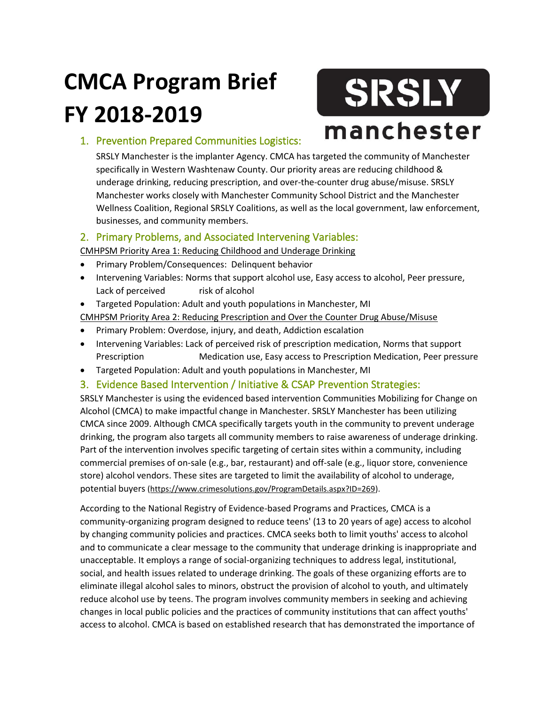# **CMCA Program Brief FY 2018-2019**

# SRSLY manchester

## 1. Prevention Prepared Communities Logistics:

SRSLY Manchester is the implanter Agency. CMCA has targeted the community of Manchester specifically in Western Washtenaw County. Our priority areas are reducing childhood & underage drinking, reducing prescription, and over-the-counter drug abuse/misuse. SRSLY Manchester works closely with Manchester Community School District and the Manchester Wellness Coalition, Regional SRSLY Coalitions, as well as the local government, law enforcement, businesses, and community members.

### 2. Primary Problems, and Associated Intervening Variables:

CMHPSM Priority Area 1: Reducing Childhood and Underage Drinking

- Primary Problem/Consequences: Delinquent behavior
- Intervening Variables: Norms that support alcohol use, Easy access to alcohol, Peer pressure, Lack of perceived risk of alcohol
- Targeted Population: Adult and youth populations in Manchester, MI

CMHPSM Priority Area 2: Reducing Prescription and Over the Counter Drug Abuse/Misuse

- Primary Problem: Overdose, injury, and death, Addiction escalation
- Intervening Variables: Lack of perceived risk of prescription medication, Norms that support Prescription Medication use, Easy access to Prescription Medication, Peer pressure
- Targeted Population: Adult and youth populations in Manchester, MI
- 3. Evidence Based Intervention / Initiative & CSAP Prevention Strategies:

SRSLY Manchester is using the evidenced based intervention Communities Mobilizing for Change on Alcohol (CMCA) to make impactful change in Manchester. SRSLY Manchester has been utilizing CMCA since 2009. Although CMCA specifically targets youth in the community to prevent underage drinking, the program also targets all community members to raise awareness of underage drinking. Part of the intervention involves specific targeting of certain sites within a community, including commercial premises of on-sale (e.g., bar, restaurant) and off-sale (e.g., liquor store, convenience store) alcohol vendors. These sites are targeted to limit the availability of alcohol to underage, potential buyers [\(https://www.crimesolutions.gov/ProgramDetails.aspx?ID=269\)](https://www.crimesolutions.gov/ProgramDetails.aspx?ID=269).

According to the National Registry of Evidence-based Programs and Practices, CMCA is a community-organizing program designed to reduce teens' (13 to 20 years of age) access to alcohol by changing community policies and practices. CMCA seeks both to limit youths' access to alcohol and to communicate a clear message to the community that underage drinking is inappropriate and unacceptable. It employs a range of social-organizing techniques to address legal, institutional, social, and health issues related to underage drinking. The goals of these organizing efforts are to eliminate illegal alcohol sales to minors, obstruct the provision of alcohol to youth, and ultimately reduce alcohol use by teens. The program involves community members in seeking and achieving changes in local public policies and the practices of community institutions that can affect youths' access to alcohol. CMCA is based on established research that has demonstrated the importance of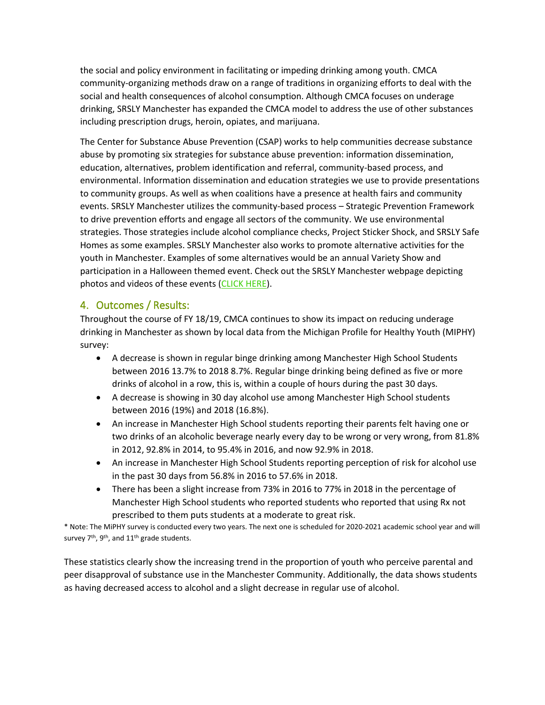the social and policy environment in facilitating or impeding drinking among youth. CMCA community-organizing methods draw on a range of traditions in organizing efforts to deal with the social and health consequences of alcohol consumption. Although CMCA focuses on underage drinking, SRSLY Manchester has expanded the CMCA model to address the use of other substances including prescription drugs, heroin, opiates, and marijuana.

The Center for Substance Abuse Prevention (CSAP) works to help communities decrease substance abuse by promoting six strategies for substance abuse prevention: information dissemination, education, alternatives, problem identification and referral, community-based process, and environmental. Information dissemination and education strategies we use to provide presentations to community groups. As well as when coalitions have a presence at health fairs and community events. SRSLY Manchester utilizes the community-based process – Strategic Prevention Framework to drive prevention efforts and engage all sectors of the community. We use environmental strategies. Those strategies include alcohol compliance checks, Project Sticker Shock, and SRSLY Safe Homes as some examples. SRSLY Manchester also works to promote alternative activities for the youth in Manchester. Examples of some alternatives would be an annual Variety Show and participation in a Halloween themed event. Check out the SRSLY Manchester webpage depicting photos and videos of these events [\(CLICK HERE\)](http://www.srslymanchester.org/2015-2016.html).

#### 4. Outcomes / Results:

Throughout the course of FY 18/19, CMCA continues to show its impact on reducing underage drinking in Manchester as shown by local data from the Michigan Profile for Healthy Youth (MIPHY) survey:

- A decrease is shown in regular binge drinking among Manchester High School Students between 2016 13.7% to 2018 8.7%. Regular binge drinking being defined as five or more drinks of alcohol in a row, this is, within a couple of hours during the past 30 days.
- A decrease is showing in 30 day alcohol use among Manchester High School students between 2016 (19%) and 2018 (16.8%).
- An increase in Manchester High School students reporting their parents felt having one or two drinks of an alcoholic beverage nearly every day to be wrong or very wrong, from 81.8% in 2012, 92.8% in 2014, to 95.4% in 2016, and now 92.9% in 2018.
- An increase in Manchester High School Students reporting perception of risk for alcohol use in the past 30 days from 56.8% in 2016 to 57.6% in 2018.
- There has been a slight increase from 73% in 2016 to 77% in 2018 in the percentage of Manchester High School students who reported students who reported that using Rx not prescribed to them puts students at a moderate to great risk.

\* Note: The MiPHY survey is conducted every two years. The next one is scheduled for 2020-2021 academic school year and will survey  $7<sup>th</sup>$ ,  $9<sup>th</sup>$ , and  $11<sup>th</sup>$  grade students.

These statistics clearly show the increasing trend in the proportion of youth who perceive parental and peer disapproval of substance use in the Manchester Community. Additionally, the data shows students as having decreased access to alcohol and a slight decrease in regular use of alcohol.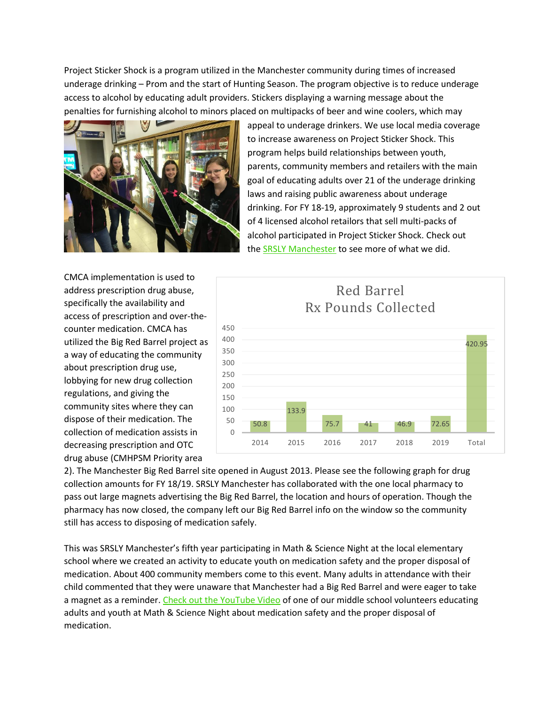Project Sticker Shock is a program utilized in the Manchester community during times of increased underage drinking – Prom and the start of Hunting Season. The program objective is to reduce underage access to alcohol by educating adult providers. Stickers displaying a warning message about the penalties for furnishing alcohol to minors placed on multipacks of beer and wine coolers, which may



appeal to underage drinkers. We use local media coverage to increase awareness on Project Sticker Shock. This program helps build relationships between youth, parents, community members and retailers with the main goal of educating adults over 21 of the underage drinking laws and raising public awareness about underage drinking. For FY 18-19, approximately 9 students and 2 out of 4 licensed alcohol retailors that sell multi-packs of alcohol participated in Project Sticker Shock. Check out the [SRSLY Manchester](http://www.srslymanchester.org/) to see more of what we did.

CMCA implementation is used to address prescription drug abuse, specifically the availability and access of prescription and over-thecounter medication. CMCA has utilized the Big Red Barrel project as a way of educating the community about prescription drug use, lobbying for new drug collection regulations, and giving the community sites where they can dispose of their medication. The collection of medication assists in decreasing prescription and OTC drug abuse (CMHPSM Priority area



2). The Manchester Big Red Barrel site opened in August 2013. Please see the following graph for drug collection amounts for FY 18/19. SRSLY Manchester has collaborated with the one local pharmacy to pass out large magnets advertising the Big Red Barrel, the location and hours of operation. Though the pharmacy has now closed, the company left our Big Red Barrel info on the window so the community still has access to disposing of medication safely.

This was SRSLY Manchester's fifth year participating in Math & Science Night at the local elementary school where we created an activity to educate youth on medication safety and the proper disposal of medication. About 400 community members come to this event. Many adults in attendance with their child commented that they were unaware that Manchester had a Big Red Barrel and were eager to take a magnet as a reminder. [Check out the YouTube Video](https://www.youtube.com/watch?v=kRVwiwMwC_w) of one of our middle school volunteers educating adults and youth at Math & Science Night about medication safety and the proper disposal of medication.